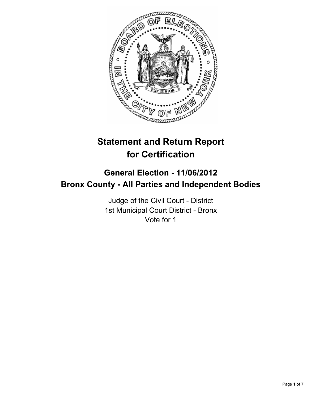

# **Statement and Return Report for Certification**

## **General Election - 11/06/2012 Bronx County - All Parties and Independent Bodies**

Judge of the Civil Court - District 1st Municipal Court District - Bronx Vote for 1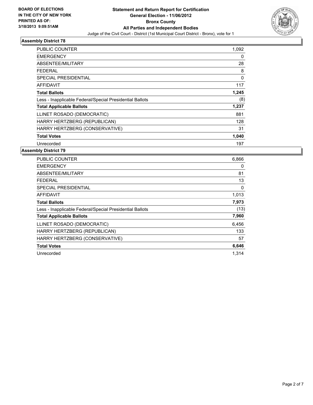

| PUBLIC COUNTER                                           | 1,092       |
|----------------------------------------------------------|-------------|
| <b>EMERGENCY</b>                                         | 0           |
| ABSENTEE/MILITARY                                        | 28          |
| FEDERAL                                                  | 8           |
| SPECIAL PRESIDENTIAL                                     | $\mathbf 0$ |
| AFFIDAVIT                                                | 117         |
| <b>Total Ballots</b>                                     | 1,245       |
| Less - Inapplicable Federal/Special Presidential Ballots | (8)         |
| <b>Total Applicable Ballots</b>                          | 1,237       |
| LLINET ROSADO (DEMOCRATIC)                               | 881         |
| HARRY HERTZBERG (REPUBLICAN)                             | 128         |
| HARRY HERTZBERG (CONSERVATIVE)                           | 31          |
| <b>Total Votes</b>                                       | 1,040       |
| Unrecorded                                               | 197         |

| <b>PUBLIC COUNTER</b>                                    | 6,866 |
|----------------------------------------------------------|-------|
| <b>EMERGENCY</b>                                         | 0     |
| ABSENTEE/MILITARY                                        | 81    |
| <b>FEDERAL</b>                                           | 13    |
| <b>SPECIAL PRESIDENTIAL</b>                              | 0     |
| AFFIDAVIT                                                | 1,013 |
| <b>Total Ballots</b>                                     | 7,973 |
| Less - Inapplicable Federal/Special Presidential Ballots | (13)  |
| <b>Total Applicable Ballots</b>                          | 7,960 |
| LLINET ROSADO (DEMOCRATIC)                               | 6,456 |
| HARRY HERTZBERG (REPUBLICAN)                             | 133   |
| HARRY HERTZBERG (CONSERVATIVE)                           | 57    |
| <b>Total Votes</b>                                       | 6,646 |
| Unrecorded                                               | 1,314 |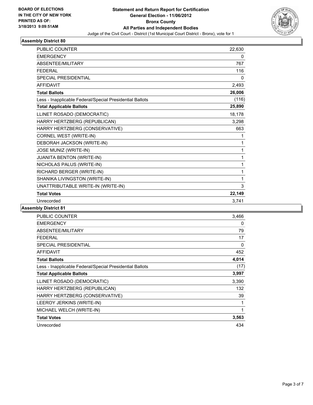

| <b>PUBLIC COUNTER</b>                                    | 22,630 |
|----------------------------------------------------------|--------|
| <b>EMERGENCY</b>                                         | 0      |
| ABSENTEE/MILITARY                                        | 767    |
| <b>FEDERAL</b>                                           | 116    |
| <b>SPECIAL PRESIDENTIAL</b>                              | 0      |
| <b>AFFIDAVIT</b>                                         | 2,493  |
| <b>Total Ballots</b>                                     | 26,006 |
| Less - Inapplicable Federal/Special Presidential Ballots | (116)  |
| <b>Total Applicable Ballots</b>                          | 25,890 |
| LLINET ROSADO (DEMOCRATIC)                               | 18,178 |
| HARRY HERTZBERG (REPUBLICAN)                             | 3,298  |
| HARRY HERTZBERG (CONSERVATIVE)                           | 663    |
| CORNEL WEST (WRITE-IN)                                   | 1      |
| DEBORAH JACKSON (WRITE-IN)                               | 1      |
| JOSE MUNIZ (WRITE-IN)                                    | 1      |
| JUANITA BENTON (WRITE-IN)                                | 1      |
| NICHOLAS PALUS (WRITE-IN)                                | 1      |
| RICHARD BERGER (WRITE-IN)                                | 1      |
| SHANIKA LIVINGSTON (WRITE-IN)                            | 1      |
| UNATTRIBUTABLE WRITE-IN (WRITE-IN)                       | 3      |
| <b>Total Votes</b>                                       | 22,149 |
| Unrecorded                                               | 3,741  |

| <b>PUBLIC COUNTER</b>                                    | 3,466 |
|----------------------------------------------------------|-------|
| <b>EMERGENCY</b>                                         | 0     |
| ABSENTEE/MILITARY                                        | 79    |
| <b>FEDERAL</b>                                           | 17    |
| <b>SPECIAL PRESIDENTIAL</b>                              | 0     |
| <b>AFFIDAVIT</b>                                         | 452   |
| <b>Total Ballots</b>                                     | 4,014 |
| Less - Inapplicable Federal/Special Presidential Ballots | (17)  |
| <b>Total Applicable Ballots</b>                          | 3,997 |
| LLINET ROSADO (DEMOCRATIC)                               | 3,390 |
| HARRY HERTZBERG (REPUBLICAN)                             | 132   |
| HARRY HERTZBERG (CONSERVATIVE)                           | 39    |
| LEEROY JERKINS (WRITE-IN)                                | 1     |
| MICHAEL WELCH (WRITE-IN)                                 | 1     |
| <b>Total Votes</b>                                       | 3,563 |
| Unrecorded                                               | 434   |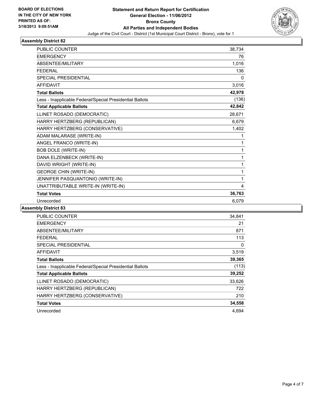

| <b>PUBLIC COUNTER</b>                                    | 38,734 |
|----------------------------------------------------------|--------|
| <b>EMERGENCY</b>                                         | 76     |
| <b>ABSENTEE/MILITARY</b>                                 | 1,016  |
| <b>FEDERAL</b>                                           | 136    |
| <b>SPECIAL PRESIDENTIAL</b>                              | 0      |
| <b>AFFIDAVIT</b>                                         | 3,016  |
| <b>Total Ballots</b>                                     | 42,978 |
| Less - Inapplicable Federal/Special Presidential Ballots | (136)  |
| <b>Total Applicable Ballots</b>                          | 42,842 |
| LLINET ROSADO (DEMOCRATIC)                               | 28,671 |
| HARRY HERTZBERG (REPUBLICAN)                             | 6,679  |
| HARRY HERTZBERG (CONSERVATIVE)                           | 1,402  |
| ADAM MALARASE (WRITE-IN)                                 | 1      |
| ANGEL FRANCO (WRITE-IN)                                  | 1      |
| <b>BOB DOLE (WRITE-IN)</b>                               | 1      |
| DANA ELZENBECK (WRITE-IN)                                | 1      |
| DAVID WRIGHT (WRITE-IN)                                  | 1      |
| <b>GEORGE CHIN (WRITE-IN)</b>                            | 1      |
| JENNIFER PASQUANTONIO (WRITE-IN)                         | 1      |
| UNATTRIBUTABLE WRITE-IN (WRITE-IN)                       | 4      |
| <b>Total Votes</b>                                       | 36,763 |
| Unrecorded                                               | 6,079  |

| <b>PUBLIC COUNTER</b>                                    | 34,841 |
|----------------------------------------------------------|--------|
| <b>EMERGENCY</b>                                         | 21     |
| ABSENTEE/MILITARY                                        | 871    |
| FEDERAL                                                  | 113    |
| SPECIAL PRESIDENTIAL                                     | 0      |
| AFFIDAVIT                                                | 3,519  |
| <b>Total Ballots</b>                                     | 39,365 |
| Less - Inapplicable Federal/Special Presidential Ballots | (113)  |
| <b>Total Applicable Ballots</b>                          | 39,252 |
| LLINET ROSADO (DEMOCRATIC)                               | 33,626 |
| HARRY HERTZBERG (REPUBLICAN)                             | 722    |
| HARRY HERTZBERG (CONSERVATIVE)                           | 210    |
| <b>Total Votes</b>                                       | 34,558 |
| Unrecorded                                               | 4,694  |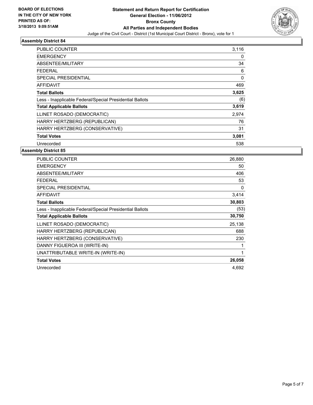

| <b>PUBLIC COUNTER</b>                                    | 3,116 |
|----------------------------------------------------------|-------|
| <b>EMERGENCY</b>                                         | 0     |
| ABSENTEE/MILITARY                                        | 34    |
| <b>FEDERAL</b>                                           | 6     |
| <b>SPECIAL PRESIDENTIAL</b>                              | 0     |
| <b>AFFIDAVIT</b>                                         | 469   |
| <b>Total Ballots</b>                                     | 3,625 |
| Less - Inapplicable Federal/Special Presidential Ballots | (6)   |
| <b>Total Applicable Ballots</b>                          | 3,619 |
| LLINET ROSADO (DEMOCRATIC)                               | 2,974 |
| HARRY HERTZBERG (REPUBLICAN)                             | 76    |
| HARRY HERTZBERG (CONSERVATIVE)                           | 31    |
| <b>Total Votes</b>                                       | 3,081 |
| Unrecorded                                               | 538   |

| <b>PUBLIC COUNTER</b>                                    | 26,880 |
|----------------------------------------------------------|--------|
| <b>EMERGENCY</b>                                         | 50     |
| ABSENTEE/MILITARY                                        | 406    |
| <b>FEDERAL</b>                                           | 53     |
| <b>SPECIAL PRESIDENTIAL</b>                              | 0      |
| <b>AFFIDAVIT</b>                                         | 3,414  |
| <b>Total Ballots</b>                                     | 30,803 |
| Less - Inapplicable Federal/Special Presidential Ballots | (53)   |
| <b>Total Applicable Ballots</b>                          | 30,750 |
| LLINET ROSADO (DEMOCRATIC)                               | 25,138 |
| HARRY HERTZBERG (REPUBLICAN)                             | 688    |
| HARRY HERTZBERG (CONSERVATIVE)                           | 230    |
| DANNY FIGUEROA III (WRITE-IN)                            | 1      |
| UNATTRIBUTABLE WRITE-IN (WRITE-IN)                       | 1      |
| <b>Total Votes</b>                                       | 26,058 |
| Unrecorded                                               | 4,692  |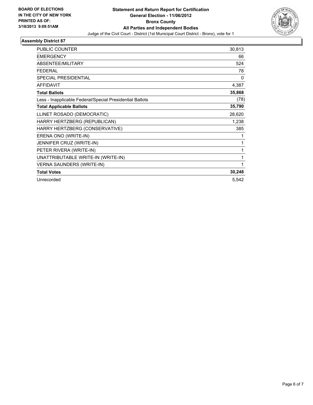

| PUBLIC COUNTER                                           | 30,813   |
|----------------------------------------------------------|----------|
| <b>EMERGENCY</b>                                         | 66       |
| ABSENTEE/MILITARY                                        | 524      |
| <b>FEDERAL</b>                                           | 78       |
| <b>SPECIAL PRESIDENTIAL</b>                              | $\Omega$ |
| <b>AFFIDAVIT</b>                                         | 4,387    |
| <b>Total Ballots</b>                                     | 35,868   |
| Less - Inapplicable Federal/Special Presidential Ballots | (78)     |
| <b>Total Applicable Ballots</b>                          | 35,790   |
| LLINET ROSADO (DEMOCRATIC)                               | 28,620   |
| HARRY HERTZBERG (REPUBLICAN)                             | 1,238    |
| HARRY HERTZBERG (CONSERVATIVE)                           | 385      |
| ERENA ONO (WRITE-IN)                                     | 1        |
| JENNIFER CRUZ (WRITE-IN)                                 | 1        |
| PETER RIVERA (WRITE-IN)                                  | 1        |
| UNATTRIBUTABLE WRITE-IN (WRITE-IN)                       | 1        |
| <b>VERNA SAUNDERS (WRITE-IN)</b>                         | 1        |
| <b>Total Votes</b>                                       | 30,248   |
| Unrecorded                                               | 5,542    |